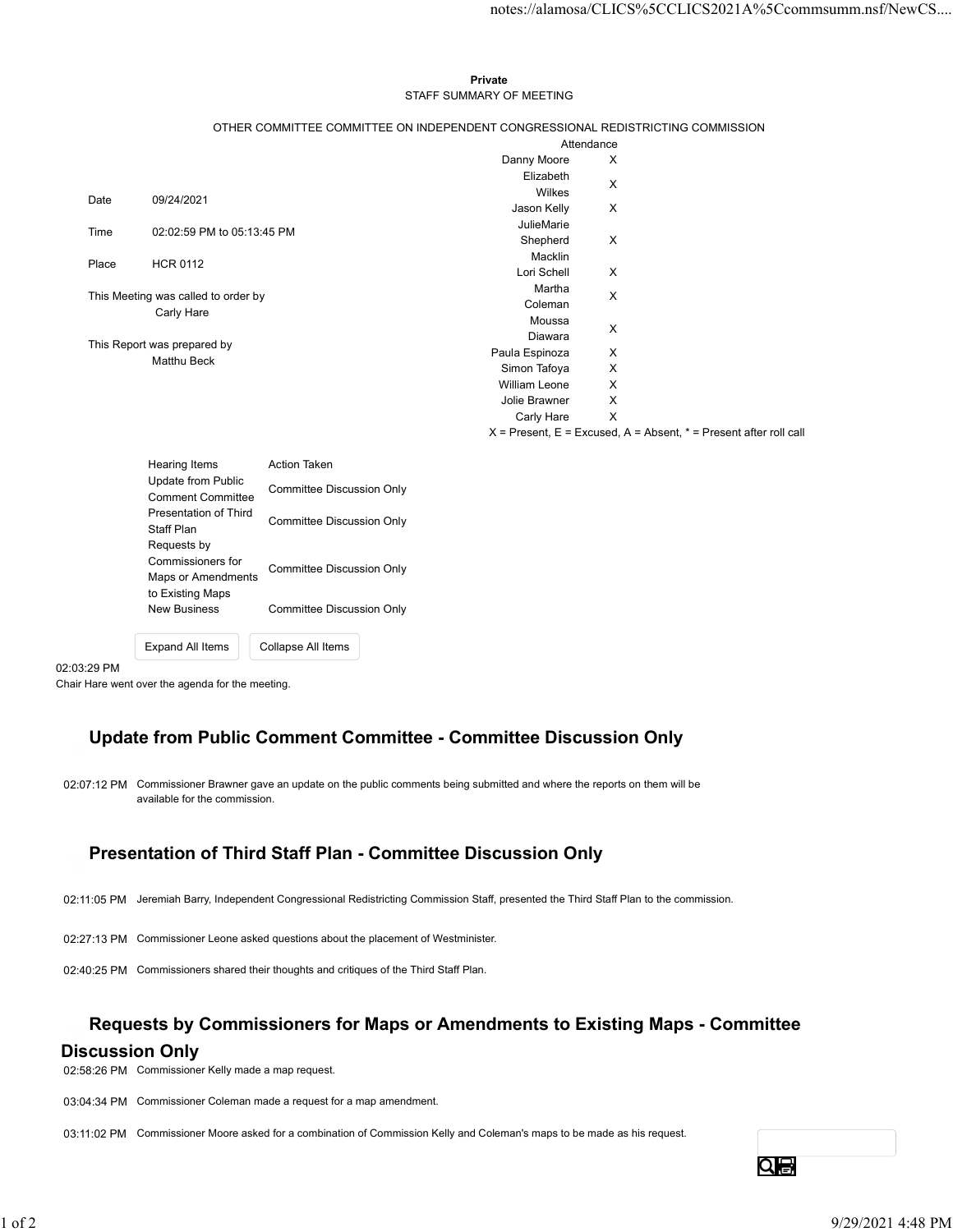### Private **Private** and *Private* and *Private* and *Private* and *Private* and *Private* and *Private* and *Private* and *Private* and *Private* and *Private* and *Private* and *Private* and *Private* and *Private* and *Pri* STAFF SUMMARY OF MEETING

|         |                                                   |                                                                                 |                           | notes://alamosa/CLICS%5CCLICS2021A%5Ccommsumm.nsf/NewCS                   |
|---------|---------------------------------------------------|---------------------------------------------------------------------------------|---------------------------|---------------------------------------------------------------------------|
|         |                                                   |                                                                                 |                           |                                                                           |
|         |                                                   |                                                                                 |                           |                                                                           |
|         |                                                   | Private                                                                         |                           |                                                                           |
|         |                                                   | STAFF SUMMARY OF MEETING                                                        |                           |                                                                           |
|         |                                                   |                                                                                 |                           |                                                                           |
|         |                                                   | OTHER COMMITTEE COMMITTEE ON INDEPENDENT CONGRESSIONAL REDISTRICTING COMMISSION | Attendance                |                                                                           |
|         |                                                   | Danny Moore                                                                     | X                         |                                                                           |
|         |                                                   | Elizabeth                                                                       | $\times$                  |                                                                           |
| Date    | 09/24/2021                                        | Wilkes                                                                          |                           |                                                                           |
|         |                                                   | Jason Kelly<br>JulieMarie                                                       | X                         |                                                                           |
| Time    | 02:02:59 PM to 05:13:45 PM                        | Shepherd                                                                        | X                         |                                                                           |
| Place   | <b>HCR 0112</b>                                   | Macklin                                                                         |                           |                                                                           |
|         |                                                   | Lori Schell                                                                     | X                         |                                                                           |
|         | This Meeting was called to order by               | Martha                                                                          | X                         |                                                                           |
|         | Carly Hare                                        | Coleman<br>Moussa                                                               |                           |                                                                           |
|         |                                                   | Diawara                                                                         | X                         |                                                                           |
|         | This Report was prepared by<br>Matthu Beck        | Paula Espinoza                                                                  | $\boldsymbol{\mathsf{X}}$ |                                                                           |
|         |                                                   | Simon Tafoya                                                                    | X                         |                                                                           |
|         |                                                   | William Leone                                                                   | X                         |                                                                           |
|         |                                                   | Jolie Brawner<br>Carly Hare                                                     | X<br>$\mathsf{X}$         |                                                                           |
|         |                                                   |                                                                                 |                           | $X =$ Present, $E =$ Excused, $A =$ Absent, $* =$ Present after roll call |
|         |                                                   |                                                                                 |                           |                                                                           |
|         | Hearing Items<br>Update from Public               | Action Taken                                                                    |                           |                                                                           |
|         | <b>Comment Committee</b><br>Presentation of Third | <b>Committee Discussion Only</b>                                                |                           |                                                                           |
|         |                                                   | <b>Committee Discussion Only</b>                                                |                           |                                                                           |
|         | Staff Plan                                        |                                                                                 |                           |                                                                           |
|         | Requests by<br>Commissioners for                  |                                                                                 |                           |                                                                           |
|         | Maps or Amendments                                | <b>Committee Discussion Only</b>                                                |                           |                                                                           |
|         | to Existing Maps                                  |                                                                                 |                           |                                                                           |
|         | <b>New Business</b>                               | <b>Committee Discussion Only</b>                                                |                           |                                                                           |
|         |                                                   |                                                                                 |                           |                                                                           |
|         | Expand All Items                                  | Collapse All Items                                                              |                           |                                                                           |
| 3:29 PM |                                                   |                                                                                 |                           |                                                                           |

| <b>Hearing Items</b>                           | <b>Action Taken</b>       |
|------------------------------------------------|---------------------------|
| Update from Public<br><b>Comment Committee</b> | Committee Discussion Only |
| Presentation of Third<br>Staff Plan            | Committee Discussion Only |
| Requests by                                    |                           |
| Commissioners for<br>Maps or Amendments        | Committee Discussion Only |
| to Existing Maps<br><b>New Business</b>        | Committee Discussion Only |
| <b>Expand All Items</b>                        | Collapse All Items        |

### 02:03:29 PM

Chair Hare went over the agenda for the meeting.

# Update from Public Comment Committee - Committee Discussion Only

02:07:12 PM Commissioner Brawner gave an update on the public comments being submitted and where the reports on them will be available for the commission.

## Presentation of Third Staff Plan - Committee Discussion Only

02:11:05 PM Jeremiah Barry, Independent Congressional Redistricting Commission Staff, presented the Third Staff Plan to the commission.

02:27:13 PM Commissioner Leone asked questions about the placement of Westminister.

02:40:25 PM Commissioners shared their thoughts and critiques of the Third Staff Plan.

# Requests by Commissioners for Maps or Amendments to Existing Maps - Committee **Presentation of Third Staff Plan - Committee Discussion Only**<br>02:11:05 PM Joromian Bany, Independent Congressional Redistricting Commission Staff, presented the Third Staff Plan to the commission.<br>02:21:13 PM Commissioner

### Discussion Only

02:58:26 PM Commissioner Kelly made a map request.

03:04:34 PM Commissioner Coleman made a request for a map amendment.

03:11:02 PM Commissioner Moore asked for a combination of Commission Kelly and Coleman's maps to be made as his request.